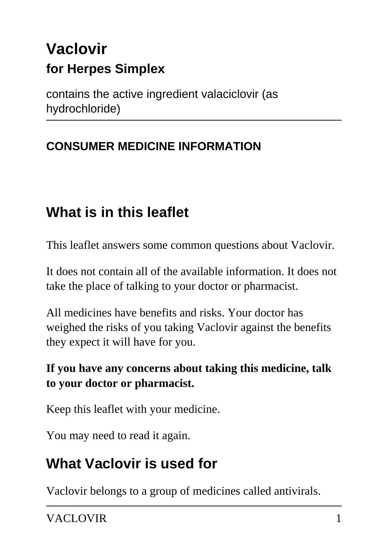# **Vaclovir for Herpes Simplex**

contains the active ingredient valaciclovir (as hydrochloride)

## **CONSUMER MEDICINE INFORMATION**

# **What is in this leaflet**

This leaflet answers some common questions about Vaclovir.

It does not contain all of the available information. It does not take the place of talking to your doctor or pharmacist.

All medicines have benefits and risks. Your doctor has weighed the risks of you taking Vaclovir against the benefits they expect it will have for you.

#### **If you have any concerns about taking this medicine, talk to your doctor or pharmacist.**

Keep this leaflet with your medicine.

You may need to read it again.

# **What Vaclovir is used for**

Vaclovir belongs to a group of medicines called antivirals.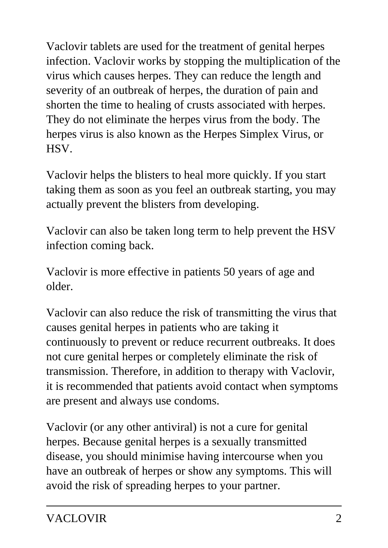Vaclovir tablets are used for the treatment of genital herpes infection. Vaclovir works by stopping the multiplication of the virus which causes herpes. They can reduce the length and severity of an outbreak of herpes, the duration of pain and shorten the time to healing of crusts associated with herpes. They do not eliminate the herpes virus from the body. The herpes virus is also known as the Herpes Simplex Virus, or HSV.

Vaclovir helps the blisters to heal more quickly. If you start taking them as soon as you feel an outbreak starting, you may actually prevent the blisters from developing.

Vaclovir can also be taken long term to help prevent the HSV infection coming back.

Vaclovir is more effective in patients 50 years of age and older.

Vaclovir can also reduce the risk of transmitting the virus that causes genital herpes in patients who are taking it continuously to prevent or reduce recurrent outbreaks. It does not cure genital herpes or completely eliminate the risk of transmission. Therefore, in addition to therapy with Vaclovir, it is recommended that patients avoid contact when symptoms are present and always use condoms.

Vaclovir (or any other antiviral) is not a cure for genital herpes. Because genital herpes is a sexually transmitted disease, you should minimise having intercourse when you have an outbreak of herpes or show any symptoms. This will avoid the risk of spreading herpes to your partner.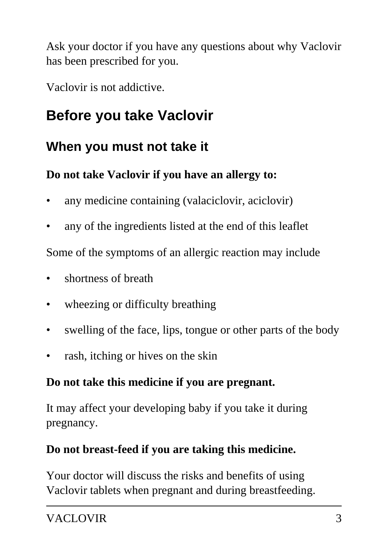Ask your doctor if you have any questions about why Vaclovir has been prescribed for you.

Vaclovir is not addictive.

# **Before you take Vaclovir**

## **When you must not take it**

## **Do not take Vaclovir if you have an allergy to:**

- any medicine containing (valaciclovir, aciclovir)
- any of the ingredients listed at the end of this leaflet

Some of the symptoms of an allergic reaction may include

- shortness of breath
- wheezing or difficulty breathing
- swelling of the face, lips, tongue or other parts of the body
- rash, itching or hives on the skin

## **Do not take this medicine if you are pregnant.**

It may affect your developing baby if you take it during pregnancy.

## **Do not breast-feed if you are taking this medicine.**

Your doctor will discuss the risks and benefits of using Vaclovir tablets when pregnant and during breastfeeding.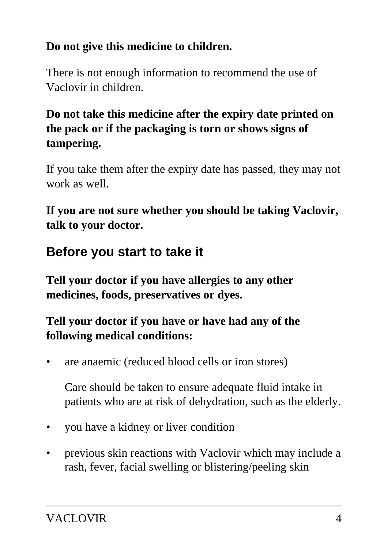## **Do not give this medicine to children.**

There is not enough information to recommend the use of Vaclovir in children.

## **Do not take this medicine after the expiry date printed on the pack or if the packaging is torn or shows signs of tampering.**

If you take them after the expiry date has passed, they may not work as well.

**If you are not sure whether you should be taking Vaclovir, talk to your doctor.**

## **Before you start to take it**

**Tell your doctor if you have allergies to any other medicines, foods, preservatives or dyes.**

## **Tell your doctor if you have or have had any of the following medical conditions:**

• are anaemic (reduced blood cells or iron stores)

 Care should be taken to ensure adequate fluid intake in patients who are at risk of dehydration, such as the elderly.

- you have a kidney or liver condition
- previous skin reactions with Vaclovir which may include a rash, fever, facial swelling or blistering/peeling skin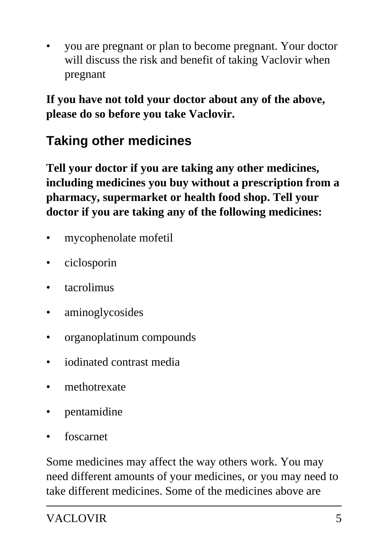• you are pregnant or plan to become pregnant. Your doctor will discuss the risk and benefit of taking Vaclovir when pregnant

**If you have not told your doctor about any of the above, please do so before you take Vaclovir.**

## **Taking other medicines**

**Tell your doctor if you are taking any other medicines, including medicines you buy without a prescription from a pharmacy, supermarket or health food shop. Tell your doctor if you are taking any of the following medicines:**

- mycophenolate mofetil
- ciclosporin
- tacrolimus
- aminoglycosides
- organoplatinum compounds
- iodinated contrast media
- methotrexate
- pentamidine
- foscarnet

Some medicines may affect the way others work. You may need different amounts of your medicines, or you may need to take different medicines. Some of the medicines above are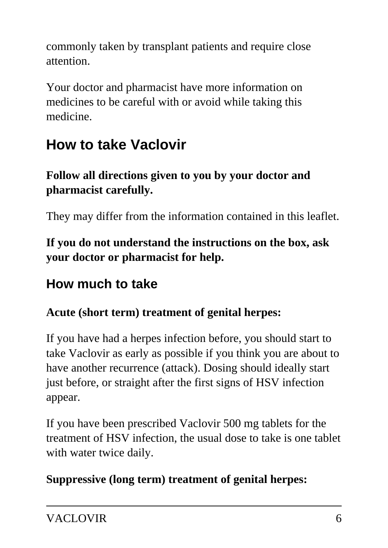commonly taken by transplant patients and require close attention.

Your doctor and pharmacist have more information on medicines to be careful with or avoid while taking this medicine.

# **How to take Vaclovir**

## **Follow all directions given to you by your doctor and pharmacist carefully.**

They may differ from the information contained in this leaflet.

**If you do not understand the instructions on the box, ask your doctor or pharmacist for help.**

## **How much to take**

## **Acute (short term) treatment of genital herpes:**

If you have had a herpes infection before, you should start to take Vaclovir as early as possible if you think you are about to have another recurrence (attack). Dosing should ideally start just before, or straight after the first signs of HSV infection appear.

If you have been prescribed Vaclovir 500 mg tablets for the treatment of HSV infection, the usual dose to take is one tablet with water twice daily.

## **Suppressive (long term) treatment of genital herpes:**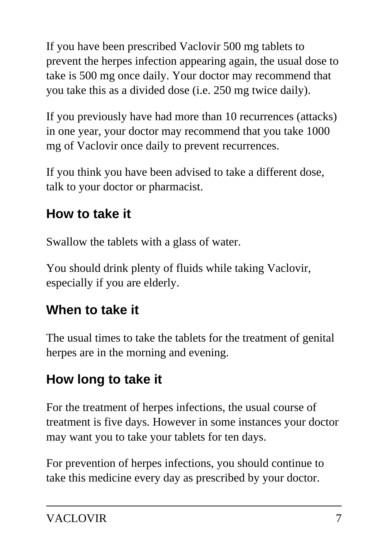If you have been prescribed Vaclovir 500 mg tablets to prevent the herpes infection appearing again, the usual dose to take is 500 mg once daily. Your doctor may recommend that you take this as a divided dose (i.e. 250 mg twice daily).

If you previously have had more than 10 recurrences (attacks) in one year, your doctor may recommend that you take 1000 mg of Vaclovir once daily to prevent recurrences.

If you think you have been advised to take a different dose, talk to your doctor or pharmacist.

## **How to take it**

Swallow the tablets with a glass of water.

You should drink plenty of fluids while taking Vaclovir, especially if you are elderly.

## **When to take it**

The usual times to take the tablets for the treatment of genital herpes are in the morning and evening.

# **How long to take it**

For the treatment of herpes infections, the usual course of treatment is five days. However in some instances your doctor may want you to take your tablets for ten days.

For prevention of herpes infections, you should continue to take this medicine every day as prescribed by your doctor.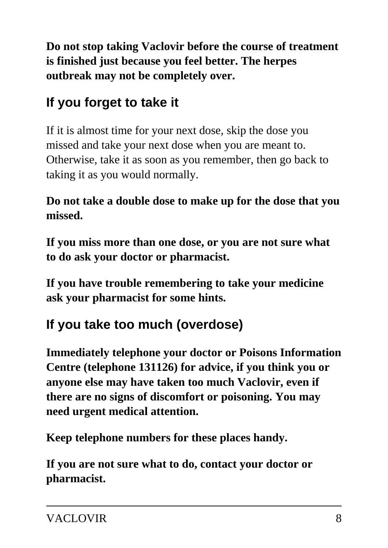**Do not stop taking Vaclovir before the course of treatment is finished just because you feel better. The herpes outbreak may not be completely over.**

## **If you forget to take it**

If it is almost time for your next dose, skip the dose you missed and take your next dose when you are meant to. Otherwise, take it as soon as you remember, then go back to taking it as you would normally.

**Do not take a double dose to make up for the dose that you missed.**

**If you miss more than one dose, or you are not sure what to do ask your doctor or pharmacist.**

**If you have trouble remembering to take your medicine ask your pharmacist for some hints.**

## **If you take too much (overdose)**

**Immediately telephone your doctor or Poisons Information Centre (telephone 131126) for advice, if you think you or anyone else may have taken too much Vaclovir, even if there are no signs of discomfort or poisoning. You may need urgent medical attention.**

**Keep telephone numbers for these places handy.**

**If you are not sure what to do, contact your doctor or pharmacist.**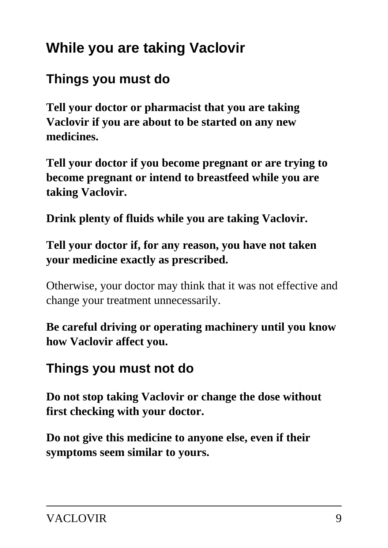# **While you are taking Vaclovir**

## **Things you must do**

**Tell your doctor or pharmacist that you are taking Vaclovir if you are about to be started on any new medicines.**

**Tell your doctor if you become pregnant or are trying to become pregnant or intend to breastfeed while you are taking Vaclovir.**

**Drink plenty of fluids while you are taking Vaclovir.**

#### **Tell your doctor if, for any reason, you have not taken your medicine exactly as prescribed.**

Otherwise, your doctor may think that it was not effective and change your treatment unnecessarily.

**Be careful driving or operating machinery until you know how Vaclovir affect you.**

## **Things you must not do**

**Do not stop taking Vaclovir or change the dose without first checking with your doctor.**

**Do not give this medicine to anyone else, even if their symptoms seem similar to yours.**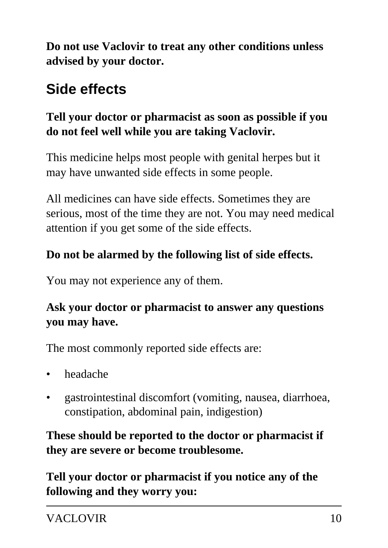**Do not use Vaclovir to treat any other conditions unless advised by your doctor.**

# **Side effects**

## **Tell your doctor or pharmacist as soon as possible if you do not feel well while you are taking Vaclovir.**

This medicine helps most people with genital herpes but it may have unwanted side effects in some people.

All medicines can have side effects. Sometimes they are serious, most of the time they are not. You may need medical attention if you get some of the side effects.

## **Do not be alarmed by the following list of side effects.**

You may not experience any of them.

## **Ask your doctor or pharmacist to answer any questions you may have.**

The most commonly reported side effects are:

- headache
- gastrointestinal discomfort (vomiting, nausea, diarrhoea, constipation, abdominal pain, indigestion)

## **These should be reported to the doctor or pharmacist if they are severe or become troublesome.**

**Tell your doctor or pharmacist if you notice any of the following and they worry you:**

VACLOVIR 10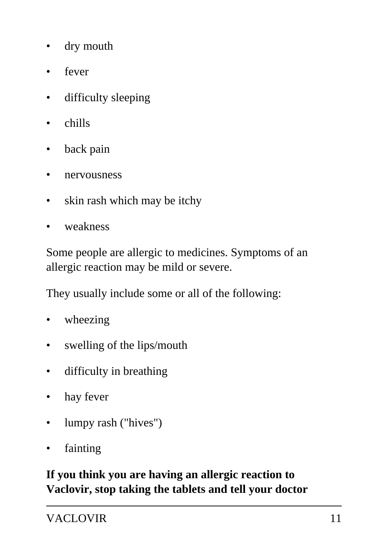- dry mouth
- fever
- difficulty sleeping
- chills
- back pain
- nervousness
- skin rash which may be itchy
- weakness

Some people are allergic to medicines. Symptoms of an allergic reaction may be mild or severe.

They usually include some or all of the following:

- wheezing
- swelling of the lips/mouth
- difficulty in breathing
- hay fever
- lumpy rash ("hives")
- **fainting**

#### **If you think you are having an allergic reaction to Vaclovir, stop taking the tablets and tell your doctor**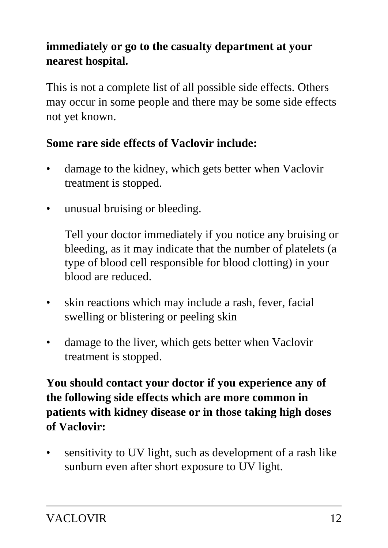## **immediately or go to the casualty department at your nearest hospital.**

This is not a complete list of all possible side effects. Others may occur in some people and there may be some side effects not yet known.

#### **Some rare side effects of Vaclovir include:**

- damage to the kidney, which gets better when Vaclovir treatment is stopped.
- unusual bruising or bleeding.

 Tell your doctor immediately if you notice any bruising or bleeding, as it may indicate that the number of platelets (a type of blood cell responsible for blood clotting) in your blood are reduced.

- skin reactions which may include a rash, fever, facial swelling or blistering or peeling skin
- damage to the liver, which gets better when Vaclovir treatment is stopped.

**You should contact your doctor if you experience any of the following side effects which are more common in patients with kidney disease or in those taking high doses of Vaclovir:**

• sensitivity to UV light, such as development of a rash like sunburn even after short exposure to UV light.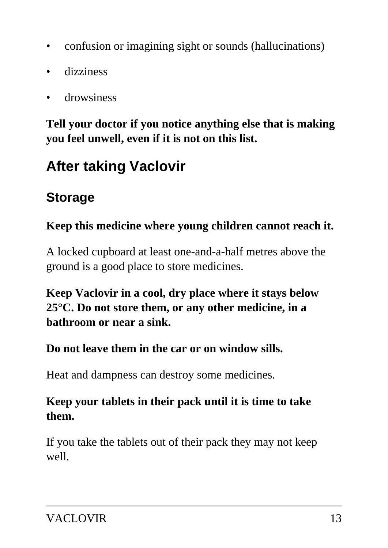- confusion or imagining sight or sounds (hallucinations)
- dizziness
- drowsiness

**Tell your doctor if you notice anything else that is making you feel unwell, even if it is not on this list.**

# **After taking Vaclovir**

## **Storage**

## **Keep this medicine where young children cannot reach it.**

A locked cupboard at least one-and-a-half metres above the ground is a good place to store medicines.

**Keep Vaclovir in a cool, dry place where it stays below 25°C. Do not store them, or any other medicine, in a bathroom or near a sink.**

## **Do not leave them in the car or on window sills.**

Heat and dampness can destroy some medicines.

## **Keep your tablets in their pack until it is time to take them.**

If you take the tablets out of their pack they may not keep well.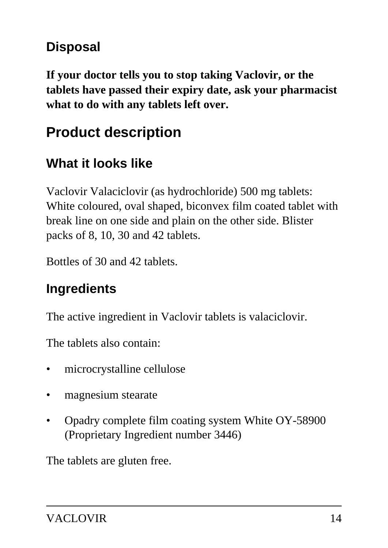## **Disposal**

**If your doctor tells you to stop taking Vaclovir, or the tablets have passed their expiry date, ask your pharmacist what to do with any tablets left over.**

## **Product description**

## **What it looks like**

Vaclovir Valaciclovir (as hydrochloride) 500 mg tablets: White coloured, oval shaped, biconvex film coated tablet with break line on one side and plain on the other side. Blister packs of 8, 10, 30 and 42 tablets.

Bottles of 30 and 42 tablets.

## **Ingredients**

The active ingredient in Vaclovir tablets is valaciclovir.

The tablets also contain:

- microcrystalline cellulose
- magnesium stearate
- Opadry complete film coating system White OY-58900 (Proprietary Ingredient number 3446)

The tablets are gluten free.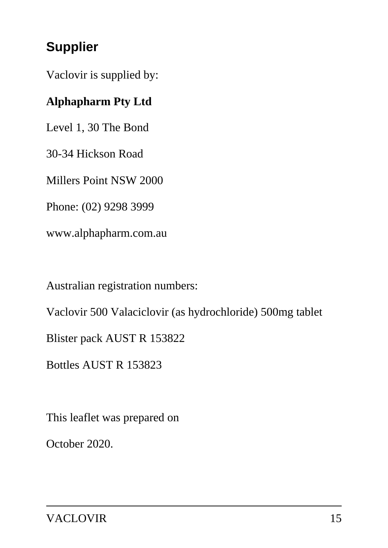## **Supplier**

Vaclovir is supplied by:

## **Alphapharm Pty Ltd**

Level 1, 30 The Bond

30-34 Hickson Road

Millers Point NSW 2000

Phone: (02) 9298 3999

www.alphapharm.com.au

Australian registration numbers:

Vaclovir 500 Valaciclovir (as hydrochloride) 500mg tablet

Blister pack AUST R 153822

Bottles AUST R 153823

This leaflet was prepared on

October 2020.